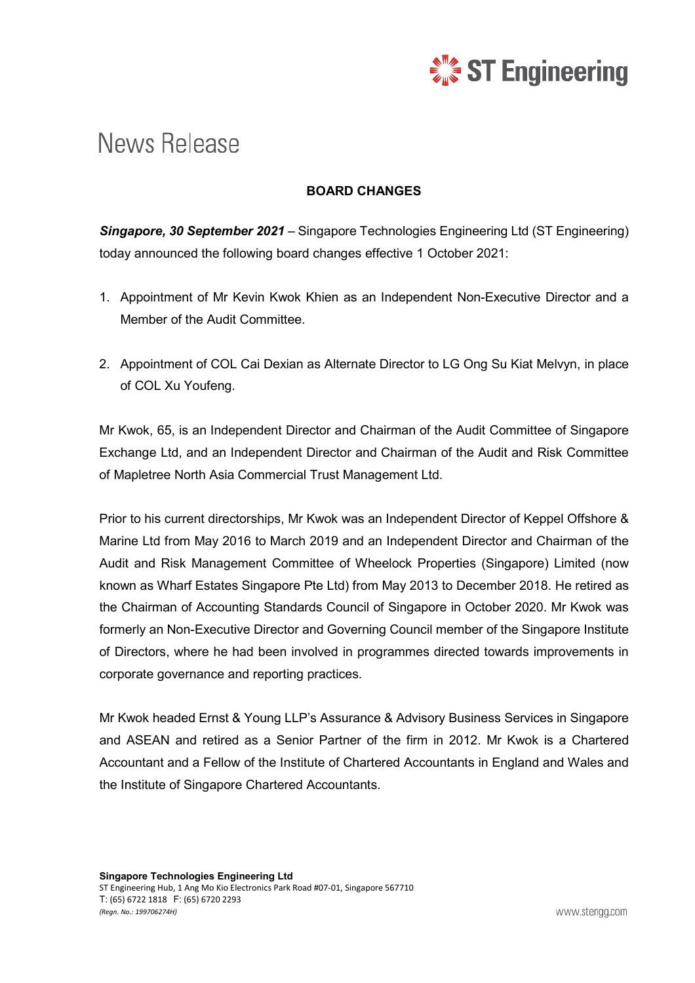

## News Release

## **BOARD CHANGES**

*Singapore, 30 September 2021* – Singapore Technologies Engineering Ltd (ST Engineering) today announced the following board changes effective 1 October 2021:

- 1. Appointment of Mr Kevin Kwok Khien as an Independent Non-Executive Director and a Member of the Audit Committee.
- 2. Appointment of COL Cai Dexian as Alternate Director to LG Ong Su Kiat Melvyn, in place of COL Xu Youfeng.

Mr Kwok, 65, is an Independent Director and Chairman of the Audit Committee of Singapore Exchange Ltd, and an Independent Director and Chairman of the Audit and Risk Committee of Mapletree North Asia Commercial Trust Management Ltd.

Prior to his current directorships, Mr Kwok was an Independent Director of Keppel Offshore & Marine Ltd from May 2016 to March 2019 and an Independent Director and Chairman of the Audit and Risk Management Committee of Wheelock Properties (Singapore) Limited (now known as Wharf Estates Singapore Pte Ltd) from May 2013 to December 2018. He retired as the Chairman of Accounting Standards Council of Singapore in October 2020. Mr Kwok was formerly an Non-Executive Director and Governing Council member of the Singapore Institute of Directors, where he had been involved in programmes directed towards improvements in corporate governance and reporting practices.

Mr Kwok headed Ernst & Young LLP's Assurance & Advisory Business Services in Singapore and ASEAN and retired as a Senior Partner of the firm in 2012. Mr Kwok is a Chartered Accountant and a Fellow of the Institute of Chartered Accountants in England and Wales and the Institute of Singapore Chartered Accountants.